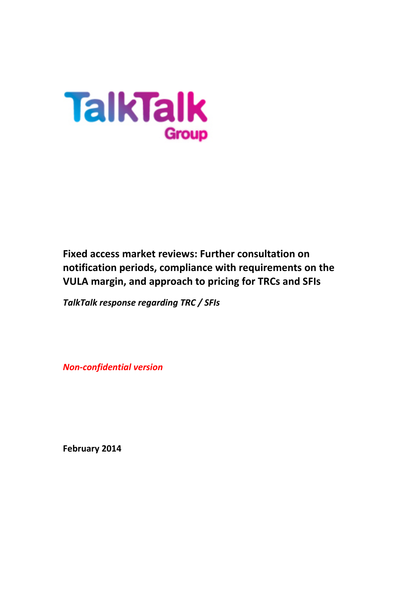

**Fixed access market reviews: Further consultation on notification periods, compliance with requirements on the VULA margin, and approach to pricing for TRCs and SFIs** 

*TalkTalk response regarding TRC / SFIs*

*Non-confidential version*

**February 2014**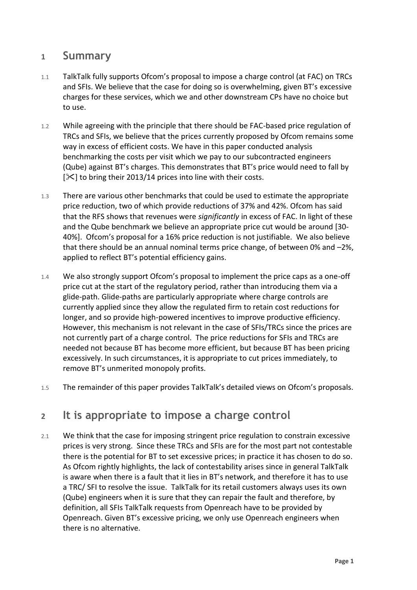#### **1 Summary**

- 1.1 TalkTalk fully supports Ofcom's proposal to impose a charge control (at FAC) on TRCs and SFIs. We believe that the case for doing so is overwhelming, given BT's excessive charges for these services, which we and other downstream CPs have no choice but to use.
- 1.2 While agreeing with the principle that there should be FAC-based price regulation of TRCs and SFIs, we believe that the prices currently proposed by Ofcom remains some way in excess of efficient costs. We have in this paper conducted analysis benchmarking the costs per visit which we pay to our subcontracted engineers (Qube) against BT's charges. This demonstrates that BT's price would need to fall by  $[\mathcal{K}]$  to bring their 2013/14 prices into line with their costs.
- 1.3 There are various other benchmarks that could be used to estimate the appropriate price reduction, two of which provide reductions of 37% and 42%. Ofcom has said that the RFS shows that revenues were *significantly* in excess of FAC. In light of these and the Qube benchmark we believe an appropriate price cut would be around [30- 40%]. Ofcom's proposal for a 16% price reduction is not justifiable. We also believe that there should be an annual nominal terms price change, of between 0% and –2%, applied to reflect BT's potential efficiency gains.
- 1.4 We also strongly support Ofcom's proposal to implement the price caps as a one-off price cut at the start of the regulatory period, rather than introducing them via a glide-path. Glide-paths are particularly appropriate where charge controls are currently applied since they allow the regulated firm to retain cost reductions for longer, and so provide high-powered incentives to improve productive efficiency. However, this mechanism is not relevant in the case of SFIs/TRCs since the prices are not currently part of a charge control. The price reductions for SFIs and TRCs are needed not because BT has become more efficient, but because BT has been pricing excessively. In such circumstances, it is appropriate to cut prices immediately, to remove BT's unmerited monopoly profits.
- 1.5 The remainder of this paper provides TalkTalk's detailed views on Ofcom's proposals.

#### **2 It is appropriate to impose a charge control**

2.1 We think that the case for imposing stringent price regulation to constrain excessive prices is very strong. Since these TRCs and SFIs are for the most part not contestable there is the potential for BT to set excessive prices; in practice it has chosen to do so. As Ofcom rightly highlights, the lack of contestability arises since in general TalkTalk is aware when there is a fault that it lies in BT's network, and therefore it has to use a TRC/ SFI to resolve the issue. TalkTalk for its retail customers always uses its own (Qube) engineers when it is sure that they can repair the fault and therefore, by definition, all SFIs TalkTalk requests from Openreach have to be provided by Openreach. Given BT's excessive pricing, we only use Openreach engineers when there is no alternative.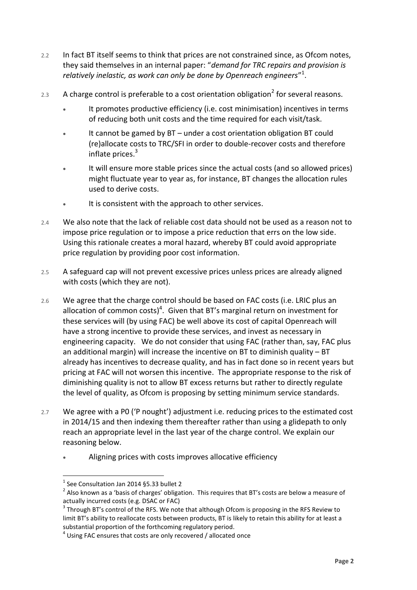- 2.2 In fact BT itself seems to think that prices are not constrained since, as Ofcom notes, they said themselves in an internal paper: "*demand for TRC repairs and provision is relatively inelastic, as work can only be done by Openreach engineers*" 1 .
- 2.3 A charge control is preferable to a cost orientation obligation<sup>2</sup> for several reasons.
	- It promotes productive efficiency (i.e. cost minimisation) incentives in terms of reducing both unit costs and the time required for each visit/task.
	- It cannot be gamed by BT under a cost orientation obligation BT could (re)allocate costs to TRC/SFI in order to double-recover costs and therefore inflate prices. 3
	- It will ensure more stable prices since the actual costs (and so allowed prices) might fluctuate year to year as, for instance, BT changes the allocation rules used to derive costs.
	- It is consistent with the approach to other services.
- 2.4 We also note that the lack of reliable cost data should not be used as a reason not to impose price regulation or to impose a price reduction that errs on the low side. Using this rationale creates a moral hazard, whereby BT could avoid appropriate price regulation by providing poor cost information.
- 2.5 A safeguard cap will not prevent excessive prices unless prices are already aligned with costs (which they are not).
- 2.6 We agree that the charge control should be based on FAC costs (i.e. LRIC plus an allocation of common costs)<sup>4</sup>. Given that BT's marginal return on investment for these services will (by using FAC) be well above its cost of capital Openreach will have a strong incentive to provide these services, and invest as necessary in engineering capacity. We do not consider that using FAC (rather than, say, FAC plus an additional margin) will increase the incentive on BT to diminish quality – BT already has incentives to decrease quality, and has in fact done so in recent years but pricing at FAC will not worsen this incentive. The appropriate response to the risk of diminishing quality is not to allow BT excess returns but rather to directly regulate the level of quality, as Ofcom is proposing by setting minimum service standards.
- 2.7 We agree with a P0 ('P nought') adjustment i.e. reducing prices to the estimated cost in 2014/15 and then indexing them thereafter rather than using a glidepath to only reach an appropriate level in the last year of the charge control. We explain our reasoning below.
	- Aligning prices with costs improves allocative efficiency

 $<sup>1</sup>$  See Consultation Jan 2014 §5.33 bullet 2</sup>

 $^{2}$  Also known as a 'basis of charges' obligation. This requires that BT's costs are below a measure of actually incurred costs (e.g. DSAC or FAC)

 $3$  Through BT's control of the RFS. We note that although Ofcom is proposing in the RFS Review to limit BT's ability to reallocate costs between products, BT is likely to retain this ability for at least a substantial proportion of the forthcoming regulatory period.

 $<sup>4</sup>$  Using FAC ensures that costs are only recovered / allocated once</sup>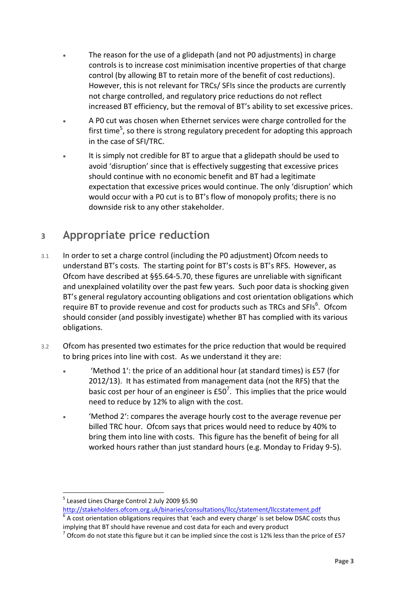- The reason for the use of a glidepath (and not P0 adjustments) in charge controls is to increase cost minimisation incentive properties of that charge control (by allowing BT to retain more of the benefit of cost reductions). However, this is not relevant for TRCs/ SFIs since the products are currently not charge controlled, and regulatory price reductions do not reflect increased BT efficiency, but the removal of BT's ability to set excessive prices.
- A P0 cut was chosen when Ethernet services were charge controlled for the first time<sup>5</sup>, so there is strong regulatory precedent for adopting this approach in the case of SFI/TRC.
- It is simply not credible for BT to argue that a glidepath should be used to avoid 'disruption' since that is effectively suggesting that excessive prices should continue with no economic benefit and BT had a legitimate expectation that excessive prices would continue. The only 'disruption' which would occur with a P0 cut is to BT's flow of monopoly profits; there is no downside risk to any other stakeholder.

# **3 Appropriate price reduction**

- 3.1 In order to set a charge control (including the P0 adjustment) Ofcom needs to understand BT's costs. The starting point for BT's costs is BT's RFS. However, as Ofcom have described at §§5.64-5.70, these figures are unreliable with significant and unexplained volatility over the past few years. Such poor data is shocking given BT's general regulatory accounting obligations and cost orientation obligations which require BT to provide revenue and cost for products such as TRCs and SFIs $^6$ . Ofcom should consider (and possibly investigate) whether BT has complied with its various obligations.
- 3.2 Ofcom has presented two estimates for the price reduction that would be required to bring prices into line with cost. As we understand it they are:
	- 'Method 1': the price of an additional hour (at standard times) is £57 (for 2012/13). It has estimated from management data (not the RFS) that the basic cost per hour of an engineer is  $£50<sup>7</sup>$ . This implies that the price would need to reduce by 12% to align with the cost.
	- 'Method 2': compares the average hourly cost to the average revenue per billed TRC hour. Ofcom says that prices would need to reduce by 40% to bring them into line with costs. This figure has the benefit of being for all worked hours rather than just standard hours (e.g. Monday to Friday 9-5).

<sup>5</sup> Leased Lines Charge Control 2 July 2009 §5.90

<http://stakeholders.ofcom.org.uk/binaries/consultations/llcc/statement/llccstatement.pdf>

 $^6$  A cost orientation obligations requires that 'each and every charge' is set below DSAC costs thus implying that BT should have revenue and cost data for each and every product

 $^7$  Ofcom do not state this figure but it can be implied since the cost is 12% less than the price of £57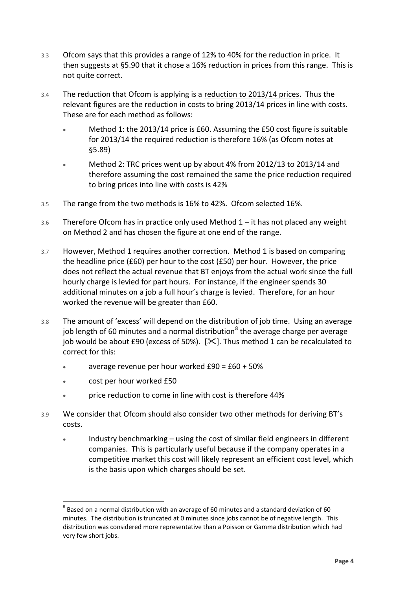- 3.3 Ofcom says that this provides a range of 12% to 40% for the reduction in price. It then suggests at §5.90 that it chose a 16% reduction in prices from this range. This is not quite correct.
- 3.4 The reduction that Ofcom is applying is a reduction to 2013/14 prices. Thus the relevant figures are the reduction in costs to bring 2013/14 prices in line with costs. These are for each method as follows:
	- Method 1: the 2013/14 price is £60. Assuming the £50 cost figure is suitable for 2013/14 the required reduction is therefore 16% (as Ofcom notes at §5.89)
	- Method 2: TRC prices went up by about 4% from 2012/13 to 2013/14 and therefore assuming the cost remained the same the price reduction required to bring prices into line with costs is 42%
- 3.5 The range from the two methods is 16% to 42%. Ofcom selected 16%.
- 3.6 Therefore Ofcom has in practice only used Method 1 it has not placed any weight on Method 2 and has chosen the figure at one end of the range.
- 3.7 However, Method 1 requires another correction. Method 1 is based on comparing the headline price (£60) per hour to the cost (£50) per hour. However, the price does not reflect the actual revenue that BT enjoys from the actual work since the full hourly charge is levied for part hours. For instance, if the engineer spends 30 additional minutes on a job a full hour's charge is levied. Therefore, for an hour worked the revenue will be greater than £60.
- 3.8 The amount of 'excess' will depend on the distribution of job time. Using an average job length of 60 minutes and a normal distribution<sup>8</sup> the average charge per average job would be about £90 (excess of 50%).  $[\mathcal{K}]$ . Thus method 1 can be recalculated to correct for this:
	- average revenue per hour worked £90 = £60 + 50%
	- cost per hour worked £50

- price reduction to come in line with cost is therefore 44%
- 3.9 We consider that Ofcom should also consider two other methods for deriving BT's costs.
	- Industry benchmarking using the cost of similar field engineers in different companies. This is particularly useful because if the company operates in a competitive market this cost will likely represent an efficient cost level, which is the basis upon which charges should be set.

 $^8$  Based on a normal distribution with an average of 60 minutes and a standard deviation of 60 minutes. The distribution is truncated at 0 minutes since jobs cannot be of negative length. This distribution was considered more representative than a Poisson or Gamma distribution which had very few short jobs.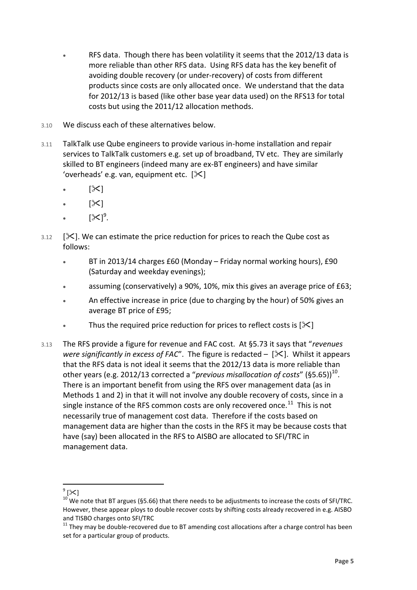- RFS data. Though there has been volatility it seems that the 2012/13 data is more reliable than other RFS data. Using RFS data has the key benefit of avoiding double recovery (or under-recovery) of costs from different products since costs are only allocated once. We understand that the data for 2012/13 is based (like other base year data used) on the RFS13 for total costs but using the 2011/12 allocation methods.
- 3.10 We discuss each of these alternatives below.
- 3.11 TalkTalk use Qube engineers to provide various in-home installation and repair services to TalkTalk customers e.g. set up of broadband, TV etc. They are similarly skilled to BT engineers (indeed many are ex-BT engineers) and have similar 'overheads' e.g. van, equipment etc.  $[\mathcal{K}]$ 
	- $\bullet$  [ $\mathsf{\times}$ ]
	- $\bullet$  [ $\times$ ]
	- $\bullet$   $[\times]^9$ .
- $3.12$  [ $\times$ ]. We can estimate the price reduction for prices to reach the Qube cost as follows:
	- BT in 2013/14 charges £60 (Monday Friday normal working hours), £90 (Saturday and weekday evenings);
	- assuming (conservatively) a 90%, 10%, mix this gives an average price of £63;
	- An effective increase in price (due to charging by the hour) of 50% gives an average BT price of £95;
	- Thus the required price reduction for prices to reflect costs is  $[\mathcal{X}]$
- 3.13 The RFS provide a figure for revenue and FAC cost. At §5.73 it says that "*revenues were significantly in excess of FAC*". The figure is redacted  $-$  [ $\angle$ ]. Whilst it appears that the RFS data is not ideal it seems that the 2012/13 data is more reliable than other years (e.g. 2012/13 corrected a "previous misallocation of costs" (§5.65))<sup>10</sup>. There is an important benefit from using the RFS over management data (as in Methods 1 and 2) in that it will not involve any double recovery of costs, since in a single instance of the RFS common costs are only recovered once. $^{11}$  This is not necessarily true of management cost data. Therefore if the costs based on management data are higher than the costs in the RFS it may be because costs that have (say) been allocated in the RFS to AISBO are allocated to SFI/TRC in management data.

 $\frac{1}{\sqrt{2}}$ 

 $10$  We note that BT argues (§5.66) that there needs to be adjustments to increase the costs of SFI/TRC. However, these appear ploys to double recover costs by shifting costs already recovered in e.g. AISBO and TISBO charges onto SFI/TRC

 $11$  They may be double-recovered due to BT amending cost allocations after a charge control has been set for a particular group of products.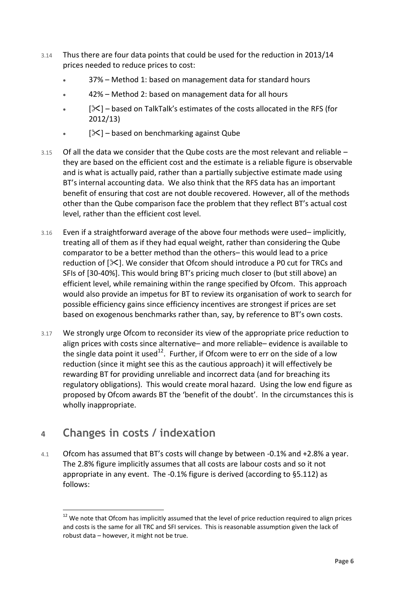- 3.14 Thus there are four data points that could be used for the reduction in 2013/14 prices needed to reduce prices to cost:
	- 37% Method 1: based on management data for standard hours
	- 42% Method 2: based on management data for all hours
	- $\bullet$  [ $\mathcal{S}$ ] based on TalkTalk's estimates of the costs allocated in the RFS (for 2012/13)
	- $\bullet$  [ $\mathcal{X}$ ] based on benchmarking against Qube
- $3.15$  Of all the data we consider that the Qube costs are the most relevant and reliable  $$ they are based on the efficient cost and the estimate is a reliable figure is observable and is what is actually paid, rather than a partially subjective estimate made using BT's internal accounting data. We also think that the RFS data has an important benefit of ensuring that cost are not double recovered. However, all of the methods other than the Qube comparison face the problem that they reflect BT's actual cost level, rather than the efficient cost level.
- 3.16 Even if a straightforward average of the above four methods were used– implicitly, treating all of them as if they had equal weight, rather than considering the Qube comparator to be a better method than the others– this would lead to a price reduction of  $[\&]$ . We consider that Ofcom should introduce a P0 cut for TRCs and SFIs of [30-40%]. This would bring BT's pricing much closer to (but still above) an efficient level, while remaining within the range specified by Ofcom. This approach would also provide an impetus for BT to review its organisation of work to search for possible efficiency gains since efficiency incentives are strongest if prices are set based on exogenous benchmarks rather than, say, by reference to BT's own costs.
- 3.17 We strongly urge Ofcom to reconsider its view of the appropriate price reduction to align prices with costs since alternative– and more reliable– evidence is available to the single data point it used<sup>12</sup>. Further, if Ofcom were to err on the side of a low reduction (since it might see this as the cautious approach) it will effectively be rewarding BT for providing unreliable and incorrect data (and for breaching its regulatory obligations). This would create moral hazard. Using the low end figure as proposed by Ofcom awards BT the 'benefit of the doubt'. In the circumstances this is wholly inappropriate.

# **4 Changes in costs / indexation**

 $\overline{a}$ 

4.1 Ofcom has assumed that BT's costs will change by between -0.1% and +2.8% a year. The 2.8% figure implicitly assumes that all costs are labour costs and so it not appropriate in any event. The -0.1% figure is derived (according to §5.112) as follows:

<sup>&</sup>lt;sup>12</sup> We note that Ofcom has implicitly assumed that the level of price reduction required to align prices and costs is the same for all TRC and SFI services. This is reasonable assumption given the lack of robust data – however, it might not be true.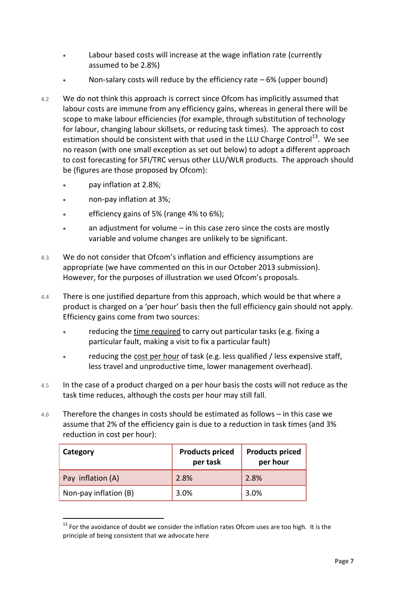- Labour based costs will increase at the wage inflation rate (currently assumed to be 2.8%)
- Non-salary costs will reduce by the efficiency rate  $-6\%$  (upper bound)
- 4.2 We do not think this approach is correct since Ofcom has implicitly assumed that labour costs are immune from any efficiency gains, whereas in general there will be scope to make labour efficiencies (for example, through substitution of technology for labour, changing labour skillsets, or reducing task times). The approach to cost estimation should be consistent with that used in the LLU Charge Control<sup>13</sup>. We see no reason (with one small exception as set out below) to adopt a different approach to cost forecasting for SFI/TRC versus other LLU/WLR products. The approach should be (figures are those proposed by Ofcom):
	- pay inflation at 2.8%;
	- non-pay inflation at 3%;
	- efficiency gains of 5% (range 4% to 6%);
	- an adjustment for volume in this case zero since the costs are mostly variable and volume changes are unlikely to be significant.
- 4.3 We do not consider that Ofcom's inflation and efficiency assumptions are appropriate (we have commented on this in our October 2013 submission). However, for the purposes of illustration we used Ofcom's proposals.
- 4.4 There is one justified departure from this approach, which would be that where a product is charged on a 'per hour' basis then the full efficiency gain should not apply. Efficiency gains come from two sources:
	- reducing the time required to carry out particular tasks (e.g. fixing a particular fault, making a visit to fix a particular fault)
	- reducing the cost per hour of task (e.g. less qualified / less expensive staff, less travel and unproductive time, lower management overhead).
- 4.5 In the case of a product charged on a per hour basis the costs will not reduce as the task time reduces, although the costs per hour may still fall.
- 4.6 Therefore the changes in costs should be estimated as follows in this case we assume that 2% of the efficiency gain is due to a reduction in task times (and 3% reduction in cost per hour):

| Category              | <b>Products priced</b><br>per task | <b>Products priced</b><br>per hour |
|-----------------------|------------------------------------|------------------------------------|
| Pay inflation (A)     | 2.8%                               | 2.8%                               |
| Non-pay inflation (B) | 3.0%                               | 3.0%                               |

 $\overline{a}$  $13$  For the avoidance of doubt we consider the inflation rates Ofcom uses are too high. It is the principle of being consistent that we advocate here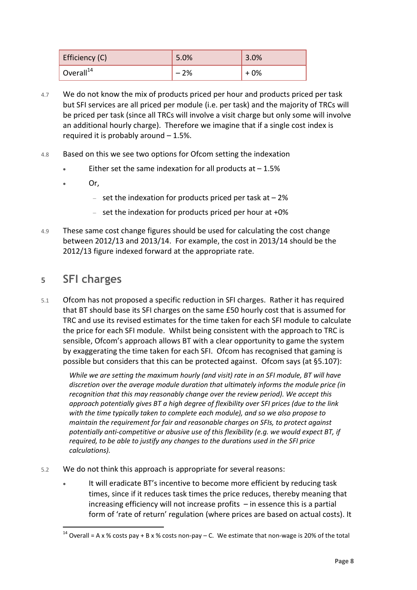| Efficiency (C)        | 5.0%  | 3.0% |
|-----------------------|-------|------|
| Overall <sup>14</sup> | $-2%$ | + 0% |

- 4.7 We do not know the mix of products priced per hour and products priced per task but SFI services are all priced per module (i.e. per task) and the majority of TRCs will be priced per task (since all TRCs will involve a visit charge but only some will involve an additional hourly charge). Therefore we imagine that if a single cost index is required it is probably around – 1.5%.
- 4.8 Based on this we see two options for Ofcom setting the indexation
	- Either set the same indexation for all products at  $-1.5%$
	- Or,
		- set the indexation for products priced per task at  $-2\%$
		- $-$  set the indexation for products priced per hour at  $+0\%$
- 4.9 These same cost change figures should be used for calculating the cost change between 2012/13 and 2013/14. For example, the cost in 2013/14 should be the 2012/13 figure indexed forward at the appropriate rate.

### **5 SFI charges**

 $\overline{a}$ 

5.1 Ofcom has not proposed a specific reduction in SFI charges. Rather it has required that BT should base its SFI charges on the same £50 hourly cost that is assumed for TRC and use its revised estimates for the time taken for each SFI module to calculate the price for each SFI module. Whilst being consistent with the approach to TRC is sensible, Ofcom's approach allows BT with a clear opportunity to game the system by exaggerating the time taken for each SFI. Ofcom has recognised that gaming is possible but considers that this can be protected against. Ofcom says (at §5.107):

*While we are setting the maximum hourly (and visit) rate in an SFI module, BT will have discretion over the average module duration that ultimately informs the module price (in recognition that this may reasonably change over the review period). We accept this approach potentially gives BT a high degree of flexibility over SFI prices (due to the link with the time typically taken to complete each module), and so we also propose to maintain the requirement for fair and reasonable charges on SFIs, to protect against potentially anti-competitive or abusive use of this flexibility (e.g. we would expect BT, if required, to be able to justify any changes to the durations used in the SFI price calculations).* 

- 5.2 We do not think this approach is appropriate for several reasons:
	- It will eradicate BT's incentive to become more efficient by reducing task times, since if it reduces task times the price reduces, thereby meaning that increasing efficiency will not increase profits – in essence this is a partial form of 'rate of return' regulation (where prices are based on actual costs). It

<sup>&</sup>lt;sup>14</sup> Overall = A x % costs pay + B x % costs non-pay – C. We estimate that non-wage is 20% of the total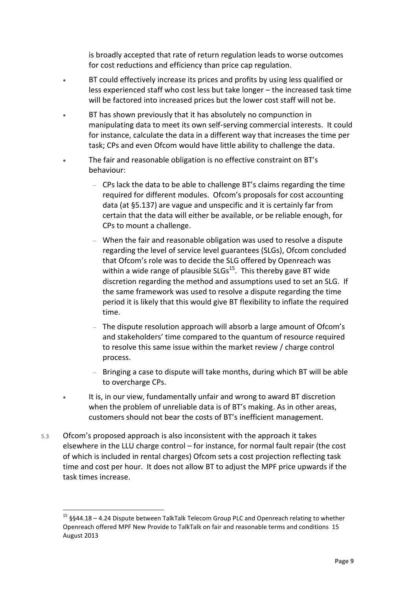is broadly accepted that rate of return regulation leads to worse outcomes for cost reductions and efficiency than price cap regulation.

- BT could effectively increase its prices and profits by using less qualified or less experienced staff who cost less but take longer – the increased task time will be factored into increased prices but the lower cost staff will not be.
- BT has shown previously that it has absolutely no compunction in manipulating data to meet its own self-serving commercial interests. It could for instance, calculate the data in a different way that increases the time per task; CPs and even Ofcom would have little ability to challenge the data.
- The fair and reasonable obligation is no effective constraint on BT's behaviour:
	- CPs lack the data to be able to challenge BT's claims regarding the time required for different modules. Ofcom's proposals for cost accounting data (at §5.137) are vague and unspecific and it is certainly far from certain that the data will either be available, or be reliable enough, for CPs to mount a challenge.
	- When the fair and reasonable obligation was used to resolve a dispute regarding the level of service level guarantees (SLGs), Ofcom concluded that Ofcom's role was to decide the SLG offered by Openreach was within a wide range of plausible  $SLGs^{15}$ . This thereby gave BT wide discretion regarding the method and assumptions used to set an SLG. If the same framework was used to resolve a dispute regarding the time period it is likely that this would give BT flexibility to inflate the required time.
	- The dispute resolution approach will absorb a large amount of Ofcom's and stakeholders' time compared to the quantum of resource required to resolve this same issue within the market review / charge control process.
	- Bringing a case to dispute will take months, during which BT will be able to overcharge CPs.
- It is, in our view, fundamentally unfair and wrong to award BT discretion when the problem of unreliable data is of BT's making. As in other areas, customers should not bear the costs of BT's inefficient management.
- 5.3 Ofcom's proposed approach is also inconsistent with the approach it takes elsewhere in the LLU charge control – for instance, for normal fault repair (the cost of which is included in rental charges) Ofcom sets a cost projection reflecting task time and cost per hour. It does not allow BT to adjust the MPF price upwards if the task times increase.

<sup>15</sup> §§44.18 – 4.24 Dispute between TalkTalk Telecom Group PLC and Openreach relating to whether Openreach offered MPF New Provide to TalkTalk on fair and reasonable terms and conditions 15 August 2013